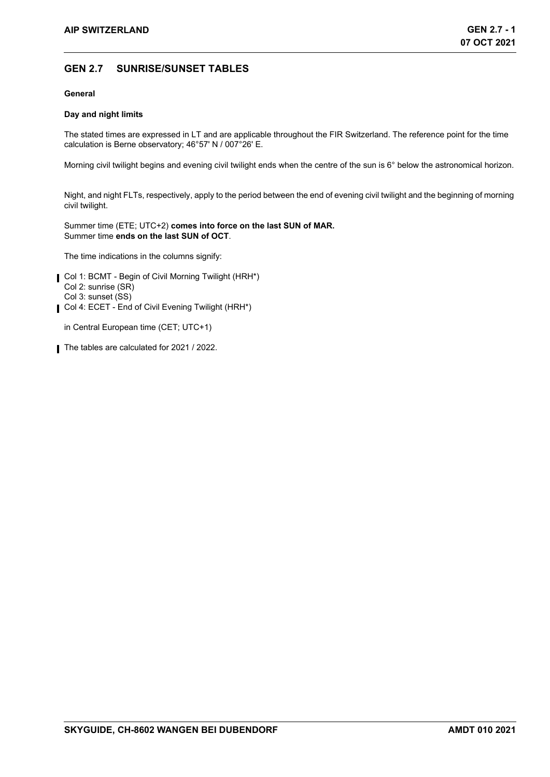## **GEN 2.7 SUNRISE/SUNSET TABLES**

## **General**

## **Day and night limits**

The stated times are expressed in LT and are applicable throughout the FIR Switzerland. The reference point for the time calculation is Berne observatory; 46°57' N / 007°26' E.

Morning civil twilight begins and evening civil twilight ends when the centre of the sun is 6° below the astronomical horizon.

Night, and night FLTs, respectively, apply to the period between the end of evening civil twilight and the beginning of morning civil twilight.

Summer time (ETE; UTC+2) **comes into force on the last SUN of MAR.** Summer time **ends on the last SUN of OCT**.

The time indications in the columns signify:

- Col 1: BCMT Begin of Civil Morning Twilight (HRH\*) Col 2: sunrise (SR) Col 3: sunset (SS)
- Col 4: ECET End of Civil Evening Twilight (HRH\*)

in Central European time (CET; UTC+1)

The tables are calculated for 2021 / 2022.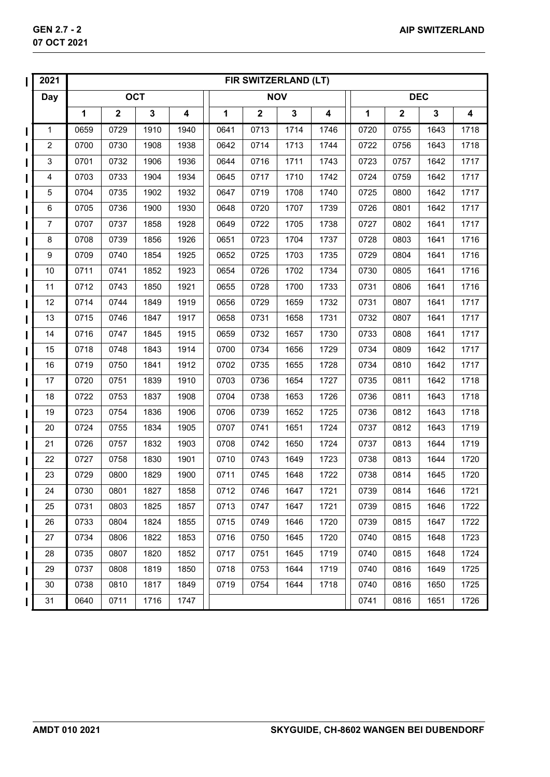|                        | 2021                      |      |             |             |                  |      | FIR SWITZERLAND (LT) |             |      |      |             |      |      |
|------------------------|---------------------------|------|-------------|-------------|------------------|------|----------------------|-------------|------|------|-------------|------|------|
|                        | <b>Day</b>                |      |             | <b>OCT</b>  |                  |      |                      | <b>NOV</b>  |      |      | <b>DEC</b>  |      |      |
|                        |                           | 1    | $\mathbf 2$ | $\mathbf 3$ | $\boldsymbol{4}$ | 1    | $\mathbf 2$          | $\mathbf 3$ | 4    | 1    | $\mathbf 2$ | 3    | 4    |
|                        | 1                         | 0659 | 0729        | 1910        | 1940             | 0641 | 0713                 | 1714        | 1746 | 0720 | 0755        | 1643 | 1718 |
|                        | $\boldsymbol{2}$          | 0700 | 0730        | 1908        | 1938             | 0642 | 0714                 | 1713        | 1744 | 0722 | 0756        | 1643 | 1718 |
|                        | $\ensuremath{\mathsf{3}}$ | 0701 | 0732        | 1906        | 1936             | 0644 | 0716                 | 1711        | 1743 | 0723 | 0757        | 1642 | 1717 |
|                        | 4                         | 0703 | 0733        | 1904        | 1934             | 0645 | 0717                 | 1710        | 1742 | 0724 | 0759        | 1642 | 1717 |
|                        | $\mathbf 5$               | 0704 | 0735        | 1902        | 1932             | 0647 | 0719                 | 1708        | 1740 | 0725 | 0800        | 1642 | 1717 |
|                        | $\,6$                     | 0705 | 0736        | 1900        | 1930             | 0648 | 0720                 | 1707        | 1739 | 0726 | 0801        | 1642 | 1717 |
|                        | 7                         | 0707 | 0737        | 1858        | 1928             | 0649 | 0722                 | 1705        | 1738 | 0727 | 0802        | 1641 | 1717 |
|                        | 8                         | 0708 | 0739        | 1856        | 1926             | 0651 | 0723                 | 1704        | 1737 | 0728 | 0803        | 1641 | 1716 |
|                        | 9                         | 0709 | 0740        | 1854        | 1925             | 0652 | 0725                 | 1703        | 1735 | 0729 | 0804        | 1641 | 1716 |
|                        | 10                        | 0711 | 0741        | 1852        | 1923             | 0654 | 0726                 | 1702        | 1734 | 0730 | 0805        | 1641 | 1716 |
|                        | 11                        | 0712 | 0743        | 1850        | 1921             | 0655 | 0728                 | 1700        | 1733 | 0731 | 0806        | 1641 | 1716 |
|                        | 12                        | 0714 | 0744        | 1849        | 1919             | 0656 | 0729                 | 1659        | 1732 | 0731 | 0807        | 1641 | 1717 |
|                        | 13                        | 0715 | 0746        | 1847        | 1917             | 0658 | 0731                 | 1658        | 1731 | 0732 | 0807        | 1641 | 1717 |
|                        | 14                        | 0716 | 0747        | 1845        | 1915             | 0659 | 0732                 | 1657        | 1730 | 0733 | 0808        | 1641 | 1717 |
|                        | 15                        | 0718 | 0748        | 1843        | 1914             | 0700 | 0734                 | 1656        | 1729 | 0734 | 0809        | 1642 | 1717 |
|                        | 16                        | 0719 | 0750        | 1841        | 1912             | 0702 | 0735                 | 1655        | 1728 | 0734 | 0810        | 1642 | 1717 |
|                        | 17                        | 0720 | 0751        | 1839        | 1910             | 0703 | 0736                 | 1654        | 1727 | 0735 | 0811        | 1642 | 1718 |
|                        | 18                        | 0722 | 0753        | 1837        | 1908             | 0704 | 0738                 | 1653        | 1726 | 0736 | 0811        | 1643 | 1718 |
|                        | 19                        | 0723 | 0754        | 1836        | 1906             | 0706 | 0739                 | 1652        | 1725 | 0736 | 0812        | 1643 | 1718 |
|                        | 20                        | 0724 | 0755        | 1834        | 1905             | 0707 | 0741                 | 1651        | 1724 | 0737 | 0812        | 1643 | 1719 |
|                        | 21                        | 0726 | 0757        | 1832        | 1903             | 0708 | 0742                 | 1650        | 1724 | 0737 | 0813        | 1644 | 1719 |
|                        | 22                        | 0727 | 0758        | 1830        | 1901             | 0710 | 0743                 | 1649        | 1723 | 0738 | 0813        | 1644 | 1720 |
|                        | 23                        | 0729 | 0800        | 1829        | 1900             | 0711 | 0745                 | 1648        | 1722 | 0738 | 0814        | 1645 | 1720 |
| $\mathsf{I}\mathsf{I}$ | 24                        | 0730 | 0801        | 1827        | 1858             | 0712 | 0746                 | 1647        | 1721 | 0739 | 0814        | 1646 | 1721 |
| $\blacksquare$         | 25                        | 0731 | 0803        | 1825        | 1857             | 0713 | 0747                 | 1647        | 1721 | 0739 | 0815        | 1646 | 1722 |
|                        | 26                        | 0733 | 0804        | 1824        | 1855             | 0715 | 0749                 | 1646        | 1720 | 0739 | 0815        | 1647 | 1722 |
|                        | 27                        | 0734 | 0806        | 1822        | 1853             | 0716 | 0750                 | 1645        | 1720 | 0740 | 0815        | 1648 | 1723 |
|                        | 28                        | 0735 | 0807        | 1820        | 1852             | 0717 | 0751                 | 1645        | 1719 | 0740 | 0815        | 1648 | 1724 |
|                        | 29                        | 0737 | 0808        | 1819        | 1850             | 0718 | 0753                 | 1644        | 1719 | 0740 | 0816        | 1649 | 1725 |
|                        | 30                        | 0738 | 0810        | 1817        | 1849             | 0719 | 0754                 | 1644        | 1718 | 0740 | 0816        | 1650 | 1725 |
|                        | 31                        | 0640 | 0711        | 1716        | 1747             |      |                      |             |      | 0741 | 0816        | 1651 | 1726 |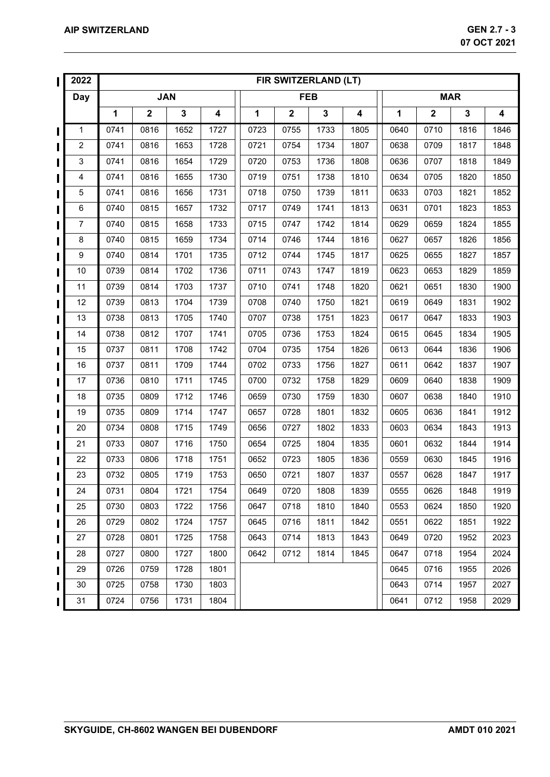|   | 2022           |            | FIR SWITZERLAND (LT)<br><b>MAR</b> |              |      |      |             |             |      |             |              |              |                         |
|---|----------------|------------|------------------------------------|--------------|------|------|-------------|-------------|------|-------------|--------------|--------------|-------------------------|
|   | Day            | <b>JAN</b> |                                    |              |      |      | <b>FEB</b>  |             |      |             |              |              |                         |
|   |                | 1          | $\mathbf 2$                        | $\mathbf{3}$ | 4    | 1    | $\mathbf 2$ | $\mathbf 3$ | 4    | $\mathbf 1$ | $\mathbf{2}$ | $\mathbf{3}$ | $\overline{\mathbf{4}}$ |
| ι | $\mathbf 1$    | 0741       | 0816                               | 1652         | 1727 | 0723 | 0755        | 1733        | 1805 | 0640        | 0710         | 1816         | 1846                    |
|   | $\overline{c}$ | 0741       | 0816                               | 1653         | 1728 | 0721 | 0754        | 1734        | 1807 | 0638        | 0709         | 1817         | 1848                    |
|   | 3              | 0741       | 0816                               | 1654         | 1729 | 0720 | 0753        | 1736        | 1808 | 0636        | 0707         | 1818         | 1849                    |
|   | 4              | 0741       | 0816                               | 1655         | 1730 | 0719 | 0751        | 1738        | 1810 | 0634        | 0705         | 1820         | 1850                    |
|   | 5              | 0741       | 0816                               | 1656         | 1731 | 0718 | 0750        | 1739        | 1811 | 0633        | 0703         | 1821         | 1852                    |
|   | 6              | 0740       | 0815                               | 1657         | 1732 | 0717 | 0749        | 1741        | 1813 | 0631        | 0701         | 1823         | 1853                    |
|   | $\overline{7}$ | 0740       | 0815                               | 1658         | 1733 | 0715 | 0747        | 1742        | 1814 | 0629        | 0659         | 1824         | 1855                    |
|   | 8              | 0740       | 0815                               | 1659         | 1734 | 0714 | 0746        | 1744        | 1816 | 0627        | 0657         | 1826         | 1856                    |
|   | 9              | 0740       | 0814                               | 1701         | 1735 | 0712 | 0744        | 1745        | 1817 | 0625        | 0655         | 1827         | 1857                    |
|   | 10             | 0739       | 0814                               | 1702         | 1736 | 0711 | 0743        | 1747        | 1819 | 0623        | 0653         | 1829         | 1859                    |
|   | 11             | 0739       | 0814                               | 1703         | 1737 | 0710 | 0741        | 1748        | 1820 | 0621        | 0651         | 1830         | 1900                    |
|   | 12             | 0739       | 0813                               | 1704         | 1739 | 0708 | 0740        | 1750        | 1821 | 0619        | 0649         | 1831         | 1902                    |
|   | 13             | 0738       | 0813                               | 1705         | 1740 | 0707 | 0738        | 1751        | 1823 | 0617        | 0647         | 1833         | 1903                    |
|   | 14             | 0738       | 0812                               | 1707         | 1741 | 0705 | 0736        | 1753        | 1824 | 0615        | 0645         | 1834         | 1905                    |
|   | 15             | 0737       | 0811                               | 1708         | 1742 | 0704 | 0735        | 1754        | 1826 | 0613        | 0644         | 1836         | 1906                    |
|   | 16             | 0737       | 0811                               | 1709         | 1744 | 0702 | 0733        | 1756        | 1827 | 0611        | 0642         | 1837         | 1907                    |
|   | 17             | 0736       | 0810                               | 1711         | 1745 | 0700 | 0732        | 1758        | 1829 | 0609        | 0640         | 1838         | 1909                    |
|   | 18             | 0735       | 0809                               | 1712         | 1746 | 0659 | 0730        | 1759        | 1830 | 0607        | 0638         | 1840         | 1910                    |
|   | 19             | 0735       | 0809                               | 1714         | 1747 | 0657 | 0728        | 1801        | 1832 | 0605        | 0636         | 1841         | 1912                    |
|   | 20             | 0734       | 0808                               | 1715         | 1749 | 0656 | 0727        | 1802        | 1833 | 0603        | 0634         | 1843         | 1913                    |
|   | 21             | 0733       | 0807                               | 1716         | 1750 | 0654 | 0725        | 1804        | 1835 | 0601        | 0632         | 1844         | 1914                    |
|   | 22             | 0733       | 0806                               | 1718         | 1751 | 0652 | 0723        | 1805        | 1836 | 0559        | 0630         | 1845         | 1916                    |
|   | 23             | 0732       | 0805                               | 1719         | 1753 | 0650 | 0721        | 1807        | 1837 | 0557        | 0628         | 1847         | 1917                    |
| Ш | 24             | 0731       | 0804                               | 1721         | 1754 | 0649 | 0720        | 1808        | 1839 | 0555        | 0626         | 1848         | 1919                    |
| Ш | 25             | 0730       | 0803                               | 1722         | 1756 | 0647 | 0718        | 1810        | 1840 | 0553        | 0624         | 1850         | 1920                    |
|   | 26             | 0729       | 0802                               | 1724         | 1757 | 0645 | 0716        | 1811        | 1842 | 0551        | 0622         | 1851         | 1922                    |
|   | 27             | 0728       | 0801                               | 1725         | 1758 | 0643 | 0714        | 1813        | 1843 | 0649        | 0720         | 1952         | 2023                    |
|   | 28             | 0727       | 0800                               | 1727         | 1800 | 0642 | 0712        | 1814        | 1845 | 0647        | 0718         | 1954         | 2024                    |
|   | 29             | 0726       | 0759                               | 1728         | 1801 |      |             |             |      | 0645        | 0716         | 1955         | 2026                    |
|   | 30             | 0725       | 0758                               | 1730         | 1803 |      |             |             |      | 0643        | 0714         | 1957         | 2027                    |
| L | 31             | 0724       | 0756                               | 1731         | 1804 |      |             |             |      | 0641        | 0712         | 1958         | 2029                    |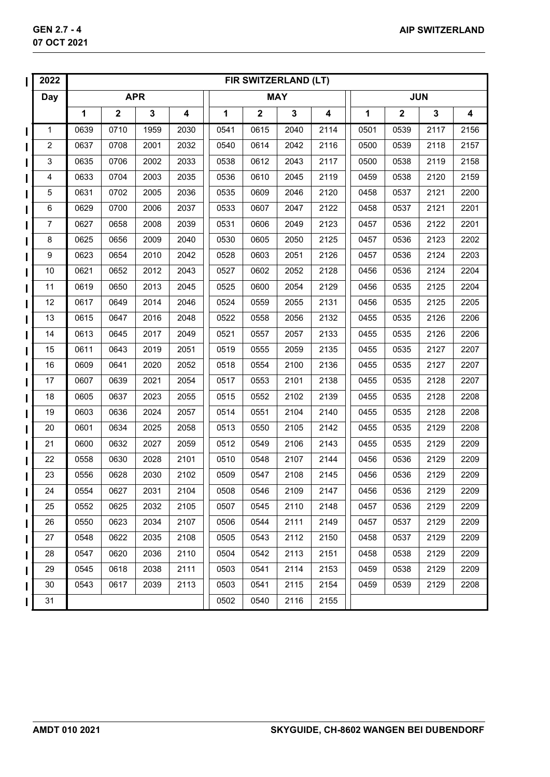| 2022           |                                                                           | FIR SWITZERLAND (LT)<br><b>JUN</b><br><b>MAY</b> |      |      |      |              |              |                         |      |              |              |                         |  |
|----------------|---------------------------------------------------------------------------|--------------------------------------------------|------|------|------|--------------|--------------|-------------------------|------|--------------|--------------|-------------------------|--|
| <b>Day</b>     | <b>APR</b><br>$\mathbf{2}$<br>$\mathbf 3$<br>1<br>$\overline{\mathbf{4}}$ |                                                  |      |      |      |              |              |                         |      |              |              |                         |  |
|                |                                                                           |                                                  |      |      | 1    | $\mathbf{2}$ | $\mathbf{3}$ | $\overline{\mathbf{4}}$ | 1    | $\mathbf{2}$ | $\mathbf{3}$ | $\overline{\mathbf{4}}$ |  |
| 1              | 0639                                                                      | 0710                                             | 1959 | 2030 | 0541 | 0615         | 2040         | 2114                    | 0501 | 0539         | 2117         | 2156                    |  |
| $\overline{c}$ | 0637                                                                      | 0708                                             | 2001 | 2032 | 0540 | 0614         | 2042         | 2116                    | 0500 | 0539         | 2118         | 2157                    |  |
| $\mathsf 3$    | 0635                                                                      | 0706                                             | 2002 | 2033 | 0538 | 0612         | 2043         | 2117                    | 0500 | 0538         | 2119         | 2158                    |  |
| 4              | 0633                                                                      | 0704                                             | 2003 | 2035 | 0536 | 0610         | 2045         | 2119                    | 0459 | 0538         | 2120         | 2159                    |  |
| $\mathbf 5$    | 0631                                                                      | 0702                                             | 2005 | 2036 | 0535 | 0609         | 2046         | 2120                    | 0458 | 0537         | 2121         | 2200                    |  |
| 6              | 0629                                                                      | 0700                                             | 2006 | 2037 | 0533 | 0607         | 2047         | 2122                    | 0458 | 0537         | 2121         | 2201                    |  |
| $\overline{7}$ | 0627                                                                      | 0658                                             | 2008 | 2039 | 0531 | 0606         | 2049         | 2123                    | 0457 | 0536         | 2122         | 2201                    |  |
| 8              | 0625                                                                      | 0656                                             | 2009 | 2040 | 0530 | 0605         | 2050         | 2125                    | 0457 | 0536         | 2123         | 2202                    |  |
| 9              | 0623                                                                      | 0654                                             | 2010 | 2042 | 0528 | 0603         | 2051         | 2126                    | 0457 | 0536         | 2124         | 2203                    |  |
| 10             | 0621                                                                      | 0652                                             | 2012 | 2043 | 0527 | 0602         | 2052         | 2128                    | 0456 | 0536         | 2124         | 2204                    |  |
| 11             | 0619                                                                      | 0650                                             | 2013 | 2045 | 0525 | 0600         | 2054         | 2129                    | 0456 | 0535         | 2125         | 2204                    |  |
| 12             | 0617                                                                      | 0649                                             | 2014 | 2046 | 0524 | 0559         | 2055         | 2131                    | 0456 | 0535         | 2125         | 2205                    |  |
| 13             | 0615                                                                      | 0647                                             | 2016 | 2048 | 0522 | 0558         | 2056         | 2132                    | 0455 | 0535         | 2126         | 2206                    |  |
| 14             | 0613                                                                      | 0645                                             | 2017 | 2049 | 0521 | 0557         | 2057         | 2133                    | 0455 | 0535         | 2126         | 2206                    |  |
| 15             | 0611                                                                      | 0643                                             | 2019 | 2051 | 0519 | 0555         | 2059         | 2135                    | 0455 | 0535         | 2127         | 2207                    |  |
| 16             | 0609                                                                      | 0641                                             | 2020 | 2052 | 0518 | 0554         | 2100         | 2136                    | 0455 | 0535         | 2127         | 2207                    |  |
| 17             | 0607                                                                      | 0639                                             | 2021 | 2054 | 0517 | 0553         | 2101         | 2138                    | 0455 | 0535         | 2128         | 2207                    |  |
| 18             | 0605                                                                      | 0637                                             | 2023 | 2055 | 0515 | 0552         | 2102         | 2139                    | 0455 | 0535         | 2128         | 2208                    |  |
| 19             | 0603                                                                      | 0636                                             | 2024 | 2057 | 0514 | 0551         | 2104         | 2140                    | 0455 | 0535         | 2128         | 2208                    |  |
| 20             | 0601                                                                      | 0634                                             | 2025 | 2058 | 0513 | 0550         | 2105         | 2142                    | 0455 | 0535         | 2129         | 2208                    |  |
| 21             | 0600                                                                      | 0632                                             | 2027 | 2059 | 0512 | 0549         | 2106         | 2143                    | 0455 | 0535         | 2129         | 2209                    |  |
| 22             | 0558                                                                      | 0630                                             | 2028 | 2101 | 0510 | 0548         | 2107         | 2144                    | 0456 | 0536         | 2129         | 2209                    |  |
| 23<br>L        | 0556                                                                      | 0628                                             | 2030 | 2102 | 0509 | 0547         | 2108         | 2145                    | 0456 | 0536         | 2129         | 2209                    |  |
| 24<br>I        | 0554                                                                      | 0627                                             | 2031 | 2104 | 0508 | 0546         | 2109         | 2147                    | 0456 | 0536         | 2129         | 2209                    |  |
| 25             | 0552                                                                      | 0625                                             | 2032 | 2105 | 0507 | 0545         | 2110         | 2148                    | 0457 | 0536         | 2129         | 2209                    |  |
| 26             | 0550                                                                      | 0623                                             | 2034 | 2107 | 0506 | 0544         | 2111         | 2149                    | 0457 | 0537         | 2129         | 2209                    |  |
| 27             | 0548                                                                      | 0622                                             | 2035 | 2108 | 0505 | 0543         | 2112         | 2150                    | 0458 | 0537         | 2129         | 2209                    |  |
| 28             | 0547                                                                      | 0620                                             | 2036 | 2110 | 0504 | 0542         | 2113         | 2151                    | 0458 | 0538         | 2129         | 2209                    |  |
| 29             | 0545                                                                      | 0618                                             | 2038 | 2111 | 0503 | 0541         | 2114         | 2153                    | 0459 | 0538         | 2129         | 2209                    |  |
| 30             | 0543                                                                      | 0617                                             | 2039 | 2113 | 0503 | 0541         | 2115         | 2154                    | 0459 | 0539         | 2129         | 2208                    |  |
| 31             |                                                                           |                                                  |      |      | 0502 | 0540         | 2116         | 2155                    |      |              |              |                         |  |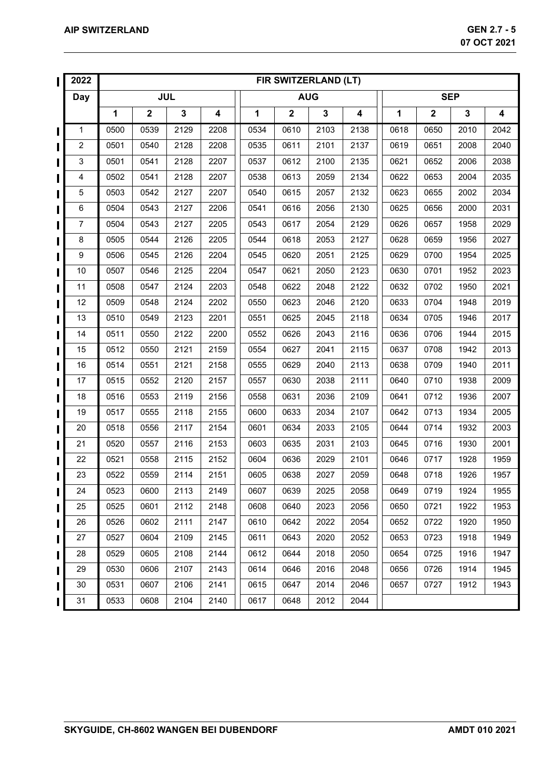|   | 2022                      |            | FIR SWITZERLAND (LT)<br><b>AUG</b> |              |      |      |             |             |                         |             |              |              |                         |  |  |
|---|---------------------------|------------|------------------------------------|--------------|------|------|-------------|-------------|-------------------------|-------------|--------------|--------------|-------------------------|--|--|
|   | <b>Day</b>                | <b>JUL</b> |                                    |              |      |      |             |             |                         |             | <b>SEP</b>   |              |                         |  |  |
|   |                           | 1          | $\mathbf 2$                        | $\mathbf{3}$ | 4    | 1    | $\mathbf 2$ | $\mathbf 3$ | $\overline{\mathbf{4}}$ | $\mathbf 1$ | $\mathbf{2}$ | $\mathbf{3}$ | $\overline{\mathbf{4}}$ |  |  |
| ι | $\mathbf 1$               | 0500       | 0539                               | 2129         | 2208 | 0534 | 0610        | 2103        | 2138                    | 0618        | 0650         | 2010         | 2042                    |  |  |
|   | $\overline{c}$            | 0501       | 0540                               | 2128         | 2208 | 0535 | 0611        | 2101        | 2137                    | 0619        | 0651         | 2008         | 2040                    |  |  |
|   | $\ensuremath{\mathsf{3}}$ | 0501       | 0541                               | 2128         | 2207 | 0537 | 0612        | 2100        | 2135                    | 0621        | 0652         | 2006         | 2038                    |  |  |
|   | 4                         | 0502       | 0541                               | 2128         | 2207 | 0538 | 0613        | 2059        | 2134                    | 0622        | 0653         | 2004         | 2035                    |  |  |
|   | 5                         | 0503       | 0542                               | 2127         | 2207 | 0540 | 0615        | 2057        | 2132                    | 0623        | 0655         | 2002         | 2034                    |  |  |
|   | 6                         | 0504       | 0543                               | 2127         | 2206 | 0541 | 0616        | 2056        | 2130                    | 0625        | 0656         | 2000         | 2031                    |  |  |
|   | $\overline{7}$            | 0504       | 0543                               | 2127         | 2205 | 0543 | 0617        | 2054        | 2129                    | 0626        | 0657         | 1958         | 2029                    |  |  |
|   | 8                         | 0505       | 0544                               | 2126         | 2205 | 0544 | 0618        | 2053        | 2127                    | 0628        | 0659         | 1956         | 2027                    |  |  |
|   | 9                         | 0506       | 0545                               | 2126         | 2204 | 0545 | 0620        | 2051        | 2125                    | 0629        | 0700         | 1954         | 2025                    |  |  |
|   | 10                        | 0507       | 0546                               | 2125         | 2204 | 0547 | 0621        | 2050        | 2123                    | 0630        | 0701         | 1952         | 2023                    |  |  |
|   | 11                        | 0508       | 0547                               | 2124         | 2203 | 0548 | 0622        | 2048        | 2122                    | 0632        | 0702         | 1950         | 2021                    |  |  |
|   | 12                        | 0509       | 0548                               | 2124         | 2202 | 0550 | 0623        | 2046        | 2120                    | 0633        | 0704         | 1948         | 2019                    |  |  |
|   | 13                        | 0510       | 0549                               | 2123         | 2201 | 0551 | 0625        | 2045        | 2118                    | 0634        | 0705         | 1946         | 2017                    |  |  |
|   | 14                        | 0511       | 0550                               | 2122         | 2200 | 0552 | 0626        | 2043        | 2116                    | 0636        | 0706         | 1944         | 2015                    |  |  |
|   | 15                        | 0512       | 0550                               | 2121         | 2159 | 0554 | 0627        | 2041        | 2115                    | 0637        | 0708         | 1942         | 2013                    |  |  |
|   | 16                        | 0514       | 0551                               | 2121         | 2158 | 0555 | 0629        | 2040        | 2113                    | 0638        | 0709         | 1940         | 2011                    |  |  |
|   | 17                        | 0515       | 0552                               | 2120         | 2157 | 0557 | 0630        | 2038        | 2111                    | 0640        | 0710         | 1938         | 2009                    |  |  |
|   | 18                        | 0516       | 0553                               | 2119         | 2156 | 0558 | 0631        | 2036        | 2109                    | 0641        | 0712         | 1936         | 2007                    |  |  |
|   | 19                        | 0517       | 0555                               | 2118         | 2155 | 0600 | 0633        | 2034        | 2107                    | 0642        | 0713         | 1934         | 2005                    |  |  |
|   | 20                        | 0518       | 0556                               | 2117         | 2154 | 0601 | 0634        | 2033        | 2105                    | 0644        | 0714         | 1932         | 2003                    |  |  |
|   | 21                        | 0520       | 0557                               | 2116         | 2153 | 0603 | 0635        | 2031        | 2103                    | 0645        | 0716         | 1930         | 2001                    |  |  |
|   | 22                        | 0521       | 0558                               | 2115         | 2152 | 0604 | 0636        | 2029        | 2101                    | 0646        | 0717         | 1928         | 1959                    |  |  |
|   | 23                        | 0522       | 0559                               | 2114         | 2151 | 0605 | 0638        | 2027        | 2059                    | 0648        | 0718         | 1926         | 1957                    |  |  |
| Ш | 24                        | 0523       | 0600                               | 2113         | 2149 | 0607 | 0639        | 2025        | 2058                    | 0649        | 0719         | 1924         | 1955                    |  |  |
| Н | 25                        | 0525       | 0601                               | 2112         | 2148 | 0608 | 0640        | 2023        | 2056                    | 0650        | 0721         | 1922         | 1953                    |  |  |
|   | 26                        | 0526       | 0602                               | 2111         | 2147 | 0610 | 0642        | 2022        | 2054                    | 0652        | 0722         | 1920         | 1950                    |  |  |
|   | 27                        | 0527       | 0604                               | 2109         | 2145 | 0611 | 0643        | 2020        | 2052                    | 0653        | 0723         | 1918         | 1949                    |  |  |
|   | 28                        | 0529       | 0605                               | 2108         | 2144 | 0612 | 0644        | 2018        | 2050                    | 0654        | 0725         | 1916         | 1947                    |  |  |
|   | 29                        | 0530       | 0606                               | 2107         | 2143 | 0614 | 0646        | 2016        | 2048                    | 0656        | 0726         | 1914         | 1945                    |  |  |
|   | 30                        | 0531       | 0607                               | 2106         | 2141 | 0615 | 0647        | 2014        | 2046                    | 0657        | 0727         | 1912         | 1943                    |  |  |
| L | 31                        | 0533       | 0608                               | 2104         | 2140 | 0617 | 0648        | 2012        | 2044                    |             |              |              |                         |  |  |